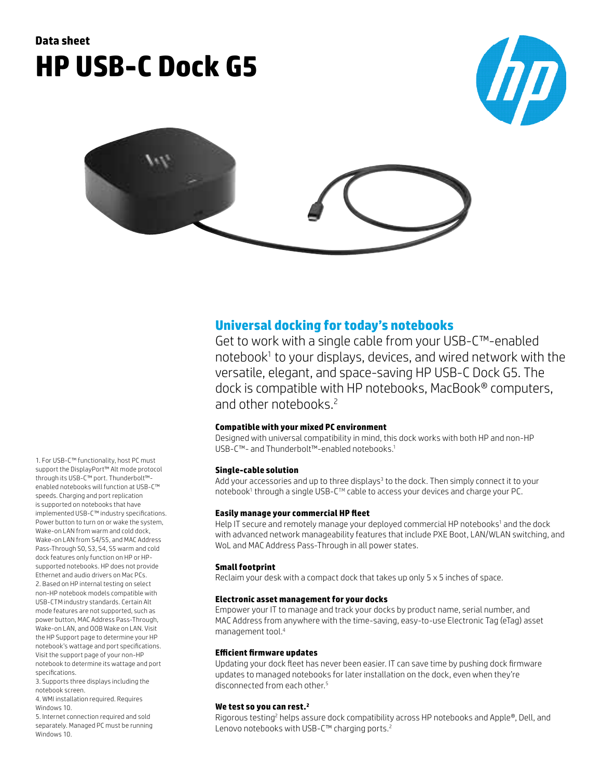# **Data sheet HP USB-C Dock G5**





## **Universal docking for today's notebooks**

Get to work with a single cable from your USB-C™-enabled notebook<sup>1</sup> to your displays, devices, and wired network with the versatile, elegant, and space-saving HP USB-C Dock G5. The dock is compatible with HP notebooks, MacBook® computers, and other notebooks.<sup>2</sup>

## **Compatible with your mixed PC environment**

Designed with universal compatibility in mind, this dock works with both HP and non-HP USB-C™- and Thunderbolt™-enabled notebooks.<sup>1</sup>

#### **Single-cable solution**

Add your accessories and up to three displays<sup>3</sup> to the dock. Then simply connect it to your notebook<sup>1</sup> through a single USB-C™ cable to access your devices and charge your PC.

#### **Easily manage your commercial HP fleet**

Help IT secure and remotely manage your deployed commercial HP notebooks<sup>1</sup> and the dock with advanced network manageability features that include PXE Boot, LAN/WLAN switching, and WoL and MAC Address Pass-Through in all power states.

#### **Small footprint**

Reclaim your desk with a compact dock that takes up only 5 x 5 inches of space.

#### **Electronic asset management for your docks**

Empower your IT to manage and track your docks by product name, serial number, and MAC Address from anywhere with the time-saving, easy-to-use Electronic Tag (eTag) asset management tool.4

#### **Efficient firmware updates**

Updating your dock fleet has never been easier. IT can save time by pushing dock firmware updates to managed notebooks for later installation on the dock, even when they're disconnected from each other.<sup>5</sup>

#### **We test so you can rest.2**

Rigorous testing<sup>2</sup> helps assure dock compatibility across HP notebooks and Apple®, Dell, and Lenovo notebooks with USB-C™ charging ports.<sup>2</sup>

1. For USB-C™ functionality, host PC must support the DisplayPort™ Alt mode protocol through its USB-C™ port. Thunderbolt™ enabled notebooks will function at USB-C™ speeds. Charging and port replication is supported on notebooks that have implemented USB-C™ industry specifications. Power button to turn on or wake the system, Wake-on LAN from warm and cold dock, Wake-on LAN from S4/S5, and MAC Address Pass-Through S0, S3, S4, S5 warm and cold dock features only function on HP or HPsupported notebooks. HP does not provide Ethernet and audio drivers on Mac PCs. 2. Based on HP internal testing on select non-HP notebook models compatible with USB-CTM industry standards. Certain Alt mode features are not supported, such as power button, MAC Address Pass-Through, Wake-on LAN, and OOB Wake on LAN. Visit the HP Support page to determine your HP notebook's wattage and port specifications. Visit the support page of your non-HP notebook to determine its wattage and port specifications. 3. Supports three displays including the

notebook screen. 4. WMI installation required. Requires

Windows 10.

5. Internet connection required and sold separately. Managed PC must be running Windows 10.